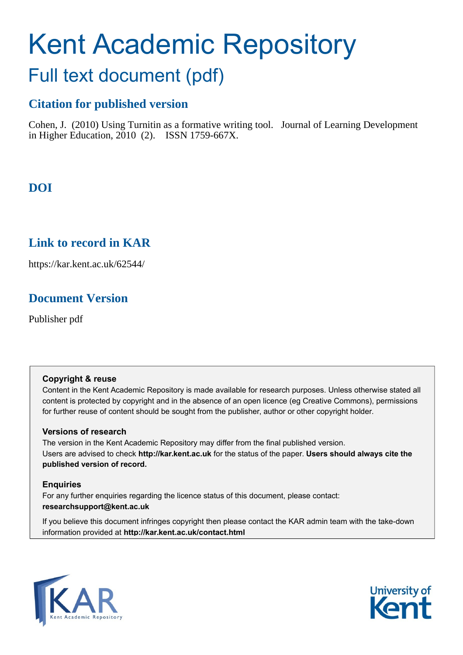# Kent Academic Repository

# Full text document (pdf)

# **Citation for published version**

Cohen, J. (2010) Using Turnitin as a formative writing tool. Journal of Learning Development in Higher Education,  $2010$  (2). ISSN 1759-667X.

# **DOI**

# **Link to record in KAR**

https://kar.kent.ac.uk/62544/

# **Document Version**

Publisher pdf

#### **Copyright & reuse**

Content in the Kent Academic Repository is made available for research purposes. Unless otherwise stated all content is protected by copyright and in the absence of an open licence (eg Creative Commons), permissions for further reuse of content should be sought from the publisher, author or other copyright holder.

#### **Versions of research**

The version in the Kent Academic Repository may differ from the final published version. Users are advised to check **http://kar.kent.ac.uk** for the status of the paper. **Users should always cite the published version of record.**

#### **Enquiries**

For any further enquiries regarding the licence status of this document, please contact: **researchsupport@kent.ac.uk**

If you believe this document infringes copyright then please contact the KAR admin team with the take-down information provided at **http://kar.kent.ac.uk/contact.html**



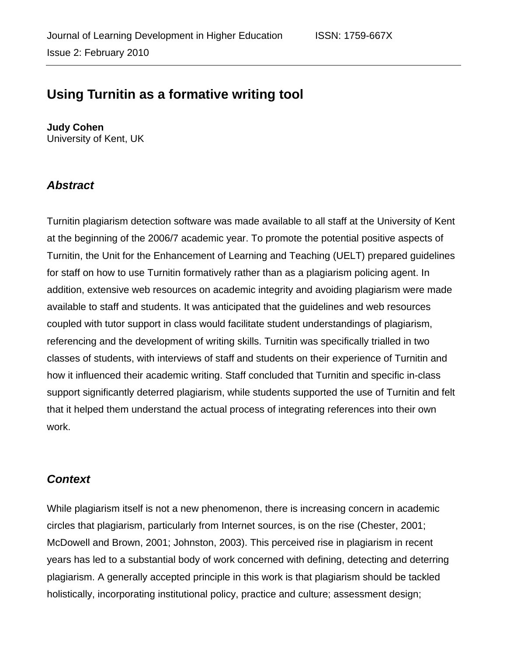# **Using Turnitin as a formative writing tool**

#### **Judy Cohen**  University of Kent, UK

# *Abstract*

Turnitin plagiarism detection software was made available to all staff at the University of Kent at the beginning of the 2006/7 academic year. To promote the potential positive aspects of Turnitin, the Unit for the Enhancement of Learning and Teaching (UELT) prepared guidelines for staff on how to use Turnitin formatively rather than as a plagiarism policing agent. In addition, extensive web resources on academic integrity and avoiding plagiarism were made available to staff and students. It was anticipated that the guidelines and web resources coupled with tutor support in class would facilitate student understandings of plagiarism, referencing and the development of writing skills. Turnitin was specifically trialled in two classes of students, with interviews of staff and students on their experience of Turnitin and how it influenced their academic writing. Staff concluded that Turnitin and specific in-class support significantly deterred plagiarism, while students supported the use of Turnitin and felt that it helped them understand the actual process of integrating references into their own work.

# *Context*

While plagiarism itself is not a new phenomenon, there is increasing concern in academic circles that plagiarism, particularly from Internet sources, is on the rise (Chester, 2001; McDowell and Brown, 2001; Johnston, 2003). This perceived rise in plagiarism in recent years has led to a substantial body of work concerned with defining, detecting and deterring plagiarism. A generally accepted principle in this work is that plagiarism should be tackled holistically, incorporating institutional policy, practice and culture; assessment design;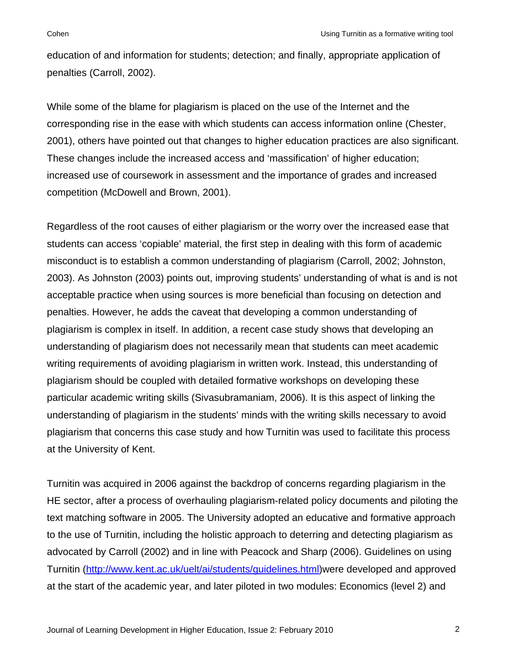education of and information for students; detection; and finally, appropriate application of penalties (Carroll, 2002).

While some of the blame for plagiarism is placed on the use of the Internet and the corresponding rise in the ease with which students can access information online (Chester, 2001), others have pointed out that changes to higher education practices are also significant. These changes include the increased access and 'massification' of higher education; increased use of coursework in assessment and the importance of grades and increased competition (McDowell and Brown, 2001).

Regardless of the root causes of either plagiarism or the worry over the increased ease that students can access 'copiable' material, the first step in dealing with this form of academic misconduct is to establish a common understanding of plagiarism (Carroll, 2002; Johnston, 2003). As Johnston (2003) points out, improving students' understanding of what is and is not acceptable practice when using sources is more beneficial than focusing on detection and penalties. However, he adds the caveat that developing a common understanding of plagiarism is complex in itself. In addition, a recent case study shows that developing an understanding of plagiarism does not necessarily mean that students can meet academic writing requirements of avoiding plagiarism in written work. Instead, this understanding of plagiarism should be coupled with detailed formative workshops on developing these particular academic writing skills (Sivasubramaniam, 2006). It is this aspect of linking the understanding of plagiarism in the students' minds with the writing skills necessary to avoid plagiarism that concerns this case study and how Turnitin was used to facilitate this process at the University of Kent.

Turnitin was acquired in 2006 against the backdrop of concerns regarding plagiarism in the HE sector, after a process of overhauling plagiarism-related policy documents and piloting the text matching software in 2005. The University adopted an educative and formative approach to the use of Turnitin, including the holistic approach to deterring and detecting plagiarism as advocated by Carroll (2002) and in line with Peacock and Sharp (2006). Guidelines on using Turnitin [\(http://www.kent.ac.uk/uelt/ai/students/guidelines.html\)](http://www.kent.ac.uk/uelt/ai/students/guidelines.html)were developed and approved at the start of the academic year, and later piloted in two modules: Economics (level 2) and

2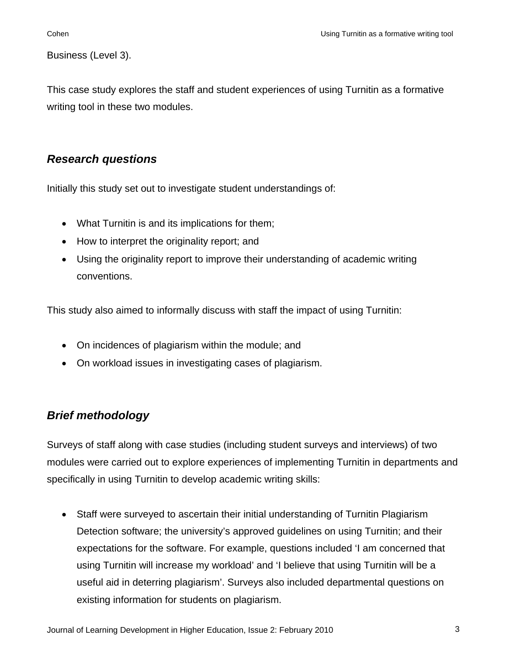Business (Level 3).

This case study explores the staff and student experiences of using Turnitin as a formative writing tool in these two modules.

### *Research questions*

Initially this study set out to investigate student understandings of:

- What Turnitin is and its implications for them;
- How to interpret the originality report; and
- Using the originality report to improve their understanding of academic writing conventions.

This study also aimed to informally discuss with staff the impact of using Turnitin:

- On incidences of plagiarism within the module; and
- On workload issues in investigating cases of plagiarism.

# *Brief methodology*

Surveys of staff along with case studies (including student surveys and interviews) of two modules were carried out to explore experiences of implementing Turnitin in departments and specifically in using Turnitin to develop academic writing skills:

• Staff were surveyed to ascertain their initial understanding of Turnitin Plagiarism Detection software; the university's approved guidelines on using Turnitin; and their expectations for the software. For example, questions included 'I am concerned that using Turnitin will increase my workload' and 'I believe that using Turnitin will be a useful aid in deterring plagiarism'. Surveys also included departmental questions on existing information for students on plagiarism.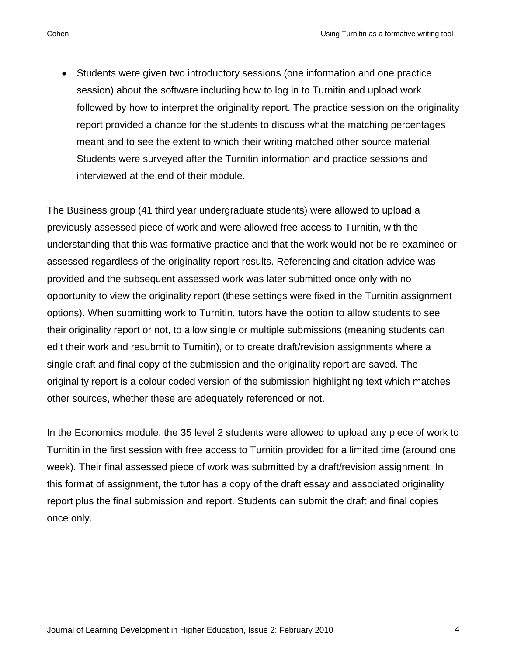• Students were given two introductory sessions (one information and one practice session) about the software including how to log in to Turnitin and upload work followed by how to interpret the originality report. The practice session on the originality report provided a chance for the students to discuss what the matching percentages meant and to see the extent to which their writing matched other source material. Students were surveyed after the Turnitin information and practice sessions and interviewed at the end of their module.

The Business group (41 third year undergraduate students) were allowed to upload a previously assessed piece of work and were allowed free access to Turnitin, with the understanding that this was formative practice and that the work would not be re-examined or assessed regardless of the originality report results. Referencing and citation advice was provided and the subsequent assessed work was later submitted once only with no opportunity to view the originality report (these settings were fixed in the Turnitin assignment options). When submitting work to Turnitin, tutors have the option to allow students to see their originality report or not, to allow single or multiple submissions (meaning students can edit their work and resubmit to Turnitin), or to create draft/revision assignments where a single draft and final copy of the submission and the originality report are saved. The originality report is a colour coded version of the submission highlighting text which matches other sources, whether these are adequately referenced or not.

In the Economics module, the 35 level 2 students were allowed to upload any piece of work to Turnitin in the first session with free access to Turnitin provided for a limited time (around one week). Their final assessed piece of work was submitted by a draft/revision assignment. In this format of assignment, the tutor has a copy of the draft essay and associated originality report plus the final submission and report. Students can submit the draft and final copies once only.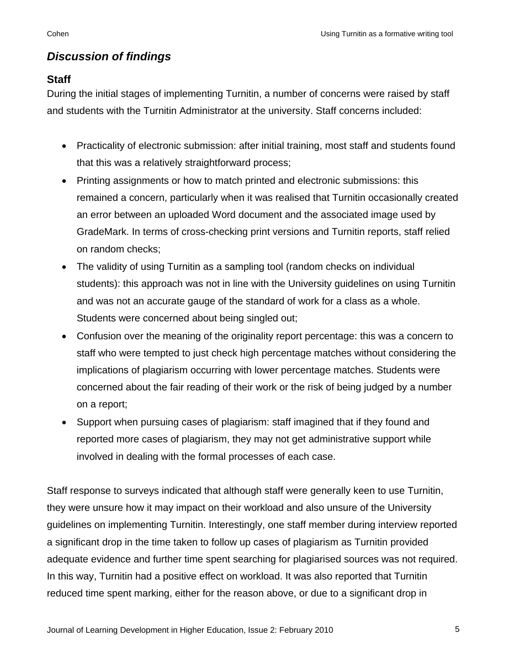# *Discussion of findings*

### **Staff**

During the initial stages of implementing Turnitin, a number of concerns were raised by staff and students with the Turnitin Administrator at the university. Staff concerns included:

- Practicality of electronic submission: after initial training, most staff and students found that this was a relatively straightforward process;
- Printing assignments or how to match printed and electronic submissions: this remained a concern, particularly when it was realised that Turnitin occasionally created an error between an uploaded Word document and the associated image used by GradeMark. In terms of cross-checking print versions and Turnitin reports, staff relied on random checks;
- The validity of using Turnitin as a sampling tool (random checks on individual students): this approach was not in line with the University guidelines on using Turnitin and was not an accurate gauge of the standard of work for a class as a whole. Students were concerned about being singled out;
- Confusion over the meaning of the originality report percentage: this was a concern to staff who were tempted to just check high percentage matches without considering the implications of plagiarism occurring with lower percentage matches. Students were concerned about the fair reading of their work or the risk of being judged by a number on a report;
- Support when pursuing cases of plagiarism: staff imagined that if they found and reported more cases of plagiarism, they may not get administrative support while involved in dealing with the formal processes of each case.

Staff response to surveys indicated that although staff were generally keen to use Turnitin, they were unsure how it may impact on their workload and also unsure of the University guidelines on implementing Turnitin. Interestingly, one staff member during interview reported a significant drop in the time taken to follow up cases of plagiarism as Turnitin provided adequate evidence and further time spent searching for plagiarised sources was not required. In this way, Turnitin had a positive effect on workload. It was also reported that Turnitin reduced time spent marking, either for the reason above, or due to a significant drop in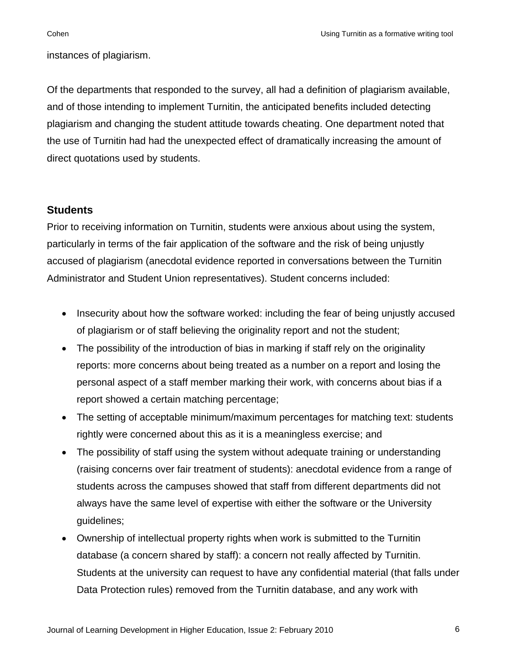instances of plagiarism.

Of the departments that responded to the survey, all had a definition of plagiarism available, and of those intending to implement Turnitin, the anticipated benefits included detecting plagiarism and changing the student attitude towards cheating. One department noted that the use of Turnitin had had the unexpected effect of dramatically increasing the amount of direct quotations used by students.

#### **Students**

Prior to receiving information on Turnitin, students were anxious about using the system, particularly in terms of the fair application of the software and the risk of being unjustly accused of plagiarism (anecdotal evidence reported in conversations between the Turnitin Administrator and Student Union representatives). Student concerns included:

- Insecurity about how the software worked: including the fear of being unjustly accused of plagiarism or of staff believing the originality report and not the student;
- The possibility of the introduction of bias in marking if staff rely on the originality reports: more concerns about being treated as a number on a report and losing the personal aspect of a staff member marking their work, with concerns about bias if a report showed a certain matching percentage;
- The setting of acceptable minimum/maximum percentages for matching text: students rightly were concerned about this as it is a meaningless exercise; and
- The possibility of staff using the system without adequate training or understanding (raising concerns over fair treatment of students): anecdotal evidence from a range of students across the campuses showed that staff from different departments did not always have the same level of expertise with either the software or the University guidelines;
- Ownership of intellectual property rights when work is submitted to the Turnitin database (a concern shared by staff): a concern not really affected by Turnitin. Students at the university can request to have any confidential material (that falls under Data Protection rules) removed from the Turnitin database, and any work with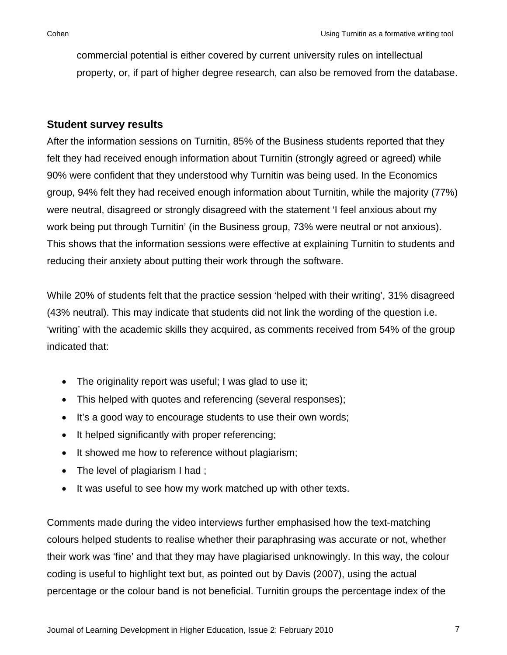commercial potential is either covered by current university rules on intellectual property, or, if part of higher degree research, can also be removed from the database.

#### **Student survey results**

After the information sessions on Turnitin, 85% of the Business students reported that they felt they had received enough information about Turnitin (strongly agreed or agreed) while 90% were confident that they understood why Turnitin was being used. In the Economics group, 94% felt they had received enough information about Turnitin, while the majority (77%) were neutral, disagreed or strongly disagreed with the statement 'I feel anxious about my work being put through Turnitin' (in the Business group, 73% were neutral or not anxious). This shows that the information sessions were effective at explaining Turnitin to students and reducing their anxiety about putting their work through the software.

While 20% of students felt that the practice session 'helped with their writing', 31% disagreed (43% neutral). This may indicate that students did not link the wording of the question i.e. 'writing' with the academic skills they acquired, as comments received from 54% of the group indicated that:

- The originality report was useful; I was glad to use it;
- This helped with quotes and referencing (several responses);
- It's a good way to encourage students to use their own words;
- It helped significantly with proper referencing;
- It showed me how to reference without plagiarism;
- The level of plagiarism I had ;
- It was useful to see how my work matched up with other texts.

Comments made during the video interviews further emphasised how the text-matching colours helped students to realise whether their paraphrasing was accurate or not, whether their work was 'fine' and that they may have plagiarised unknowingly. In this way, the colour coding is useful to highlight text but, as pointed out by Davis (2007), using the actual percentage or the colour band is not beneficial. Turnitin groups the percentage index of the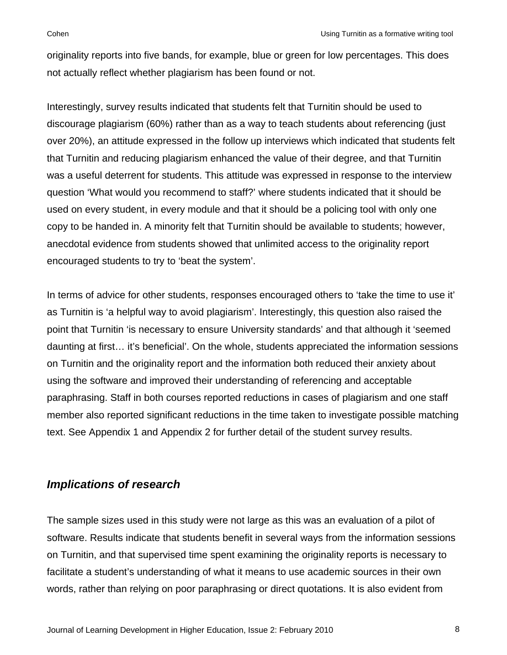originality reports into five bands, for example, blue or green for low percentages. This does not actually reflect whether plagiarism has been found or not.

Interestingly, survey results indicated that students felt that Turnitin should be used to discourage plagiarism (60%) rather than as a way to teach students about referencing (just over 20%), an attitude expressed in the follow up interviews which indicated that students felt that Turnitin and reducing plagiarism enhanced the value of their degree, and that Turnitin was a useful deterrent for students. This attitude was expressed in response to the interview question 'What would you recommend to staff?' where students indicated that it should be used on every student, in every module and that it should be a policing tool with only one copy to be handed in. A minority felt that Turnitin should be available to students; however, anecdotal evidence from students showed that unlimited access to the originality report encouraged students to try to 'beat the system'.

In terms of advice for other students, responses encouraged others to 'take the time to use it' as Turnitin is 'a helpful way to avoid plagiarism'. Interestingly, this question also raised the point that Turnitin 'is necessary to ensure University standards' and that although it 'seemed daunting at first… it's beneficial'. On the whole, students appreciated the information sessions on Turnitin and the originality report and the information both reduced their anxiety about using the software and improved their understanding of referencing and acceptable paraphrasing. Staff in both courses reported reductions in cases of plagiarism and one staff member also reported significant reductions in the time taken to investigate possible matching text. See Appendix 1 and Appendix 2 for further detail of the student survey results.

# *Implications of research*

The sample sizes used in this study were not large as this was an evaluation of a pilot of software. Results indicate that students benefit in several ways from the information sessions on Turnitin, and that supervised time spent examining the originality reports is necessary to facilitate a student's understanding of what it means to use academic sources in their own words, rather than relying on poor paraphrasing or direct quotations. It is also evident from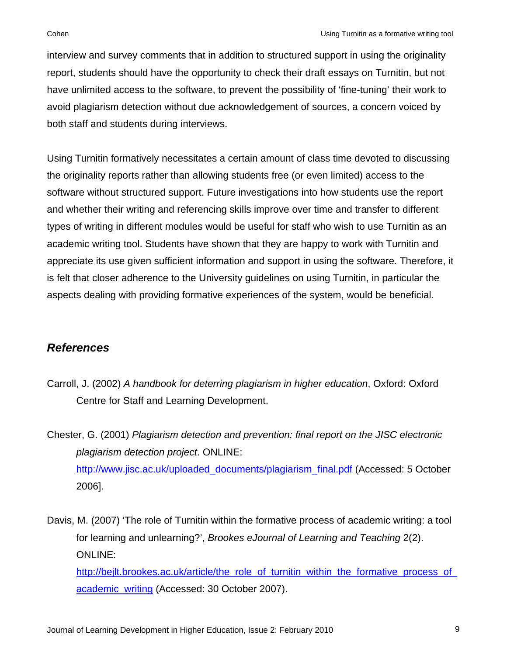interview and survey comments that in addition to structured support in using the originality report, students should have the opportunity to check their draft essays on Turnitin, but not have unlimited access to the software, to prevent the possibility of 'fine-tuning' their work to avoid plagiarism detection without due acknowledgement of sources, a concern voiced by both staff and students during interviews.

Using Turnitin formatively necessitates a certain amount of class time devoted to discussing the originality reports rather than allowing students free (or even limited) access to the software without structured support. Future investigations into how students use the report and whether their writing and referencing skills improve over time and transfer to different types of writing in different modules would be useful for staff who wish to use Turnitin as an academic writing tool. Students have shown that they are happy to work with Turnitin and appreciate its use given sufficient information and support in using the software. Therefore, it is felt that closer adherence to the University guidelines on using Turnitin, in particular the aspects dealing with providing formative experiences of the system, would be beneficial.

# *References*

Carroll, J. (2002) *A handbook for deterring plagiarism in higher education*, Oxford: Oxford Centre for Staff and Learning Development.

Chester, G. (2001) *Plagiarism detection and prevention: final report on the JISC electronic plagiarism detection project*. ONLINE: [http://www.jisc.ac.uk/uploaded\\_documents/plagiarism\\_final.pdf](http://www.jisc.ac.uk/uploaded_documents/plagiarism_final.pdf) (Accessed: 5 October 2006].

Davis, M. (2007) 'The role of Turnitin within the formative process of academic writing: a tool for learning and unlearning?', *Brookes eJournal of Learning and Teaching* 2(2). ONLINE:

[http://bejlt.brookes.ac.uk/article/the\\_role\\_of\\_turnitin\\_within\\_the\\_formative\\_process\\_of\\_](http://bejlt.brookes.ac.uk/article/the_role_of_turnitin_within_the_formative_process_of_academic_writing) [academic\\_writing](http://bejlt.brookes.ac.uk/article/the_role_of_turnitin_within_the_formative_process_of_academic_writing) (Accessed: 30 October 2007).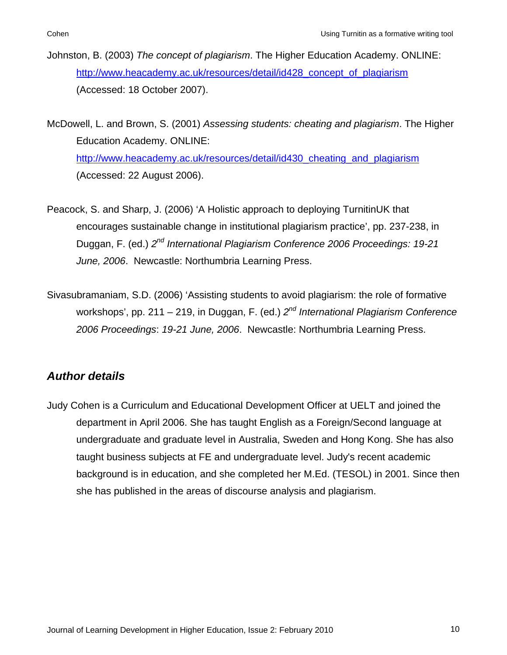Johnston, B. (2003) *The concept of plagiarism*. The Higher Education Academy. ONLINE: [http://www.heacademy.ac.uk/resources/detail/id428\\_concept\\_of\\_plagiarism](http://www.heacademy.ac.uk/resources/detail/id428_concept_of_plagiarism) (Accessed: 18 October 2007).

McDowell, L. and Brown, S. (2001) *Assessing students: cheating and plagiarism*. The Higher Education Academy. ONLINE: [http://www.heacademy.ac.uk/resources/detail/id430\\_cheating\\_and\\_plagiarism](http://www.heacademy.ac.uk/resources/detail/id430_cheating_and_plagiarism) (Accessed: 22 August 2006).

- Peacock, S. and Sharp, J. (2006) 'A Holistic approach to deploying TurnitinUK that encourages sustainable change in institutional plagiarism practice', pp. 237-238, in Duggan, F. (ed.) 2<sup>nd</sup> International Plagiarism Conference 2006 Proceedings: 19-21 *June, 2006*. Newcastle: Northumbria Learning Press.
- Sivasubramaniam, S.D. (2006) 'Assisting students to avoid plagiarism: the role of formative workshops', pp. 211 – 219, in Duggan, F. (ed.) 2<sup>nd</sup> International Plagiarism Conference *2006 Proceedings* : *19-21 June, 2006*. Newcastle: Northumbria Learning Press.

# *Author details*

Judy Cohen is a Curriculum and Educational Development Officer at UELT and joined the department in April 2006. She has taught English as a Foreign/Second language at undergraduate and graduate level in Australia, Sweden and Hong Kong. She has also taught business subjects at FE and undergraduate level. Judy's recent academic background is in education, and she completed her M.Ed. (TESOL) in 2001. Since then she has published in the areas of discourse analysis and plagiarism.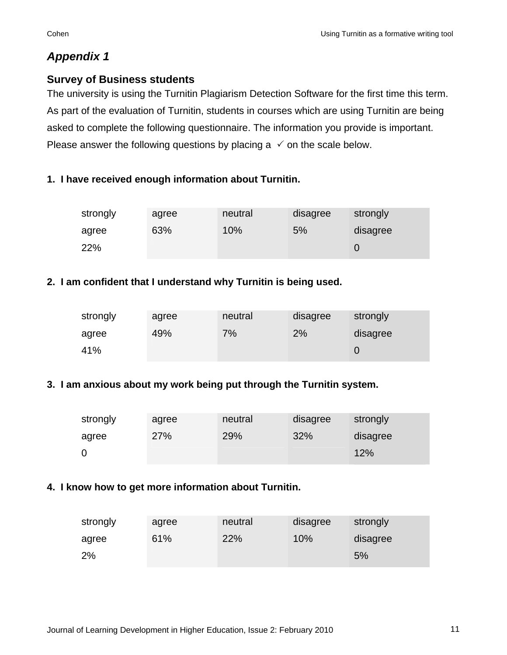# *Appendix 1*

# **Survey of Business students**

The university is using the Turnitin Plagiarism Detection Software for the first time this term. As part of the evaluation of Turnitin, students in courses which are using Turnitin are being asked to complete the following questionnaire. The information you provide is important. Please answer the following questions by placing a  $\checkmark$  on the scale below.

# **1. I have received enough information about Turnitin.**

| strongly | agree | neutral | disagree | strongly |
|----------|-------|---------|----------|----------|
| agree    | 63%   | 10%     | 5%       | disagree |
| 22%      |       |         |          |          |

# **2. I am confident that I understand why Turnitin is being used.**

| strongly | agree | neutral | disagree | strongly |
|----------|-------|---------|----------|----------|
| agree    | 49%   | 7%      | 2%       | disagree |
| 41%      |       |         |          |          |

# **3. I am anxious about my work being put through the Turnitin system.**

| strongly | agree | neutral | disagree | strongly |
|----------|-------|---------|----------|----------|
| agree    | 27%   | 29%     | 32%      | disagree |
|          |       |         |          | 12%      |

### **4. I know how to get more information about Turnitin.**

| strongly | agree | neutral | disagree | strongly |
|----------|-------|---------|----------|----------|
| agree    | 61%   | 22%     | 10%      | disagree |
| 2%       |       |         |          | 5%       |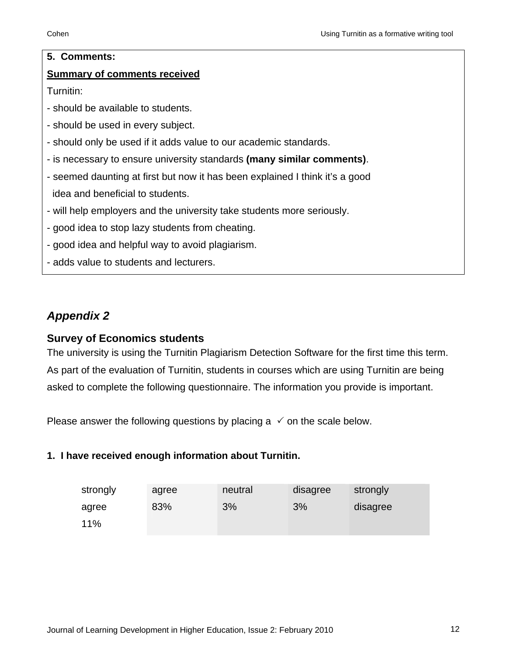#### **5. Comments:**

#### **Summary of comments received**

Turnitin:

- should be available to students.
- should be used in every subject.
- should only be used if it adds value to our academic standards.
- is necessary to ensure university standards **(many similar comments)**.
- seemed daunting at first but now it has been explained I think it's a good idea and beneficial to students.
- will help employers and the university take students more seriously.
- good idea to stop lazy students from cheating.
- good idea and helpful way to avoid plagiarism.
- adds value to students and lecturers.

# *Appendix 2*

### **Survey of Economics students**

The university is using the Turnitin Plagiarism Detection Software for the first time this term. As part of the evaluation of Turnitin, students in courses which are using Turnitin are being asked to complete the following questionnaire. The information you provide is important.

Please answer the following questions by placing a  $\checkmark$  on the scale below.

### **1. I have received enough information about Turnitin.**

| strongly | agree | neutral | disagree | strongly |
|----------|-------|---------|----------|----------|
| agree    | 83%   | 3%      | 3%       | disagree |
| 11%      |       |         |          |          |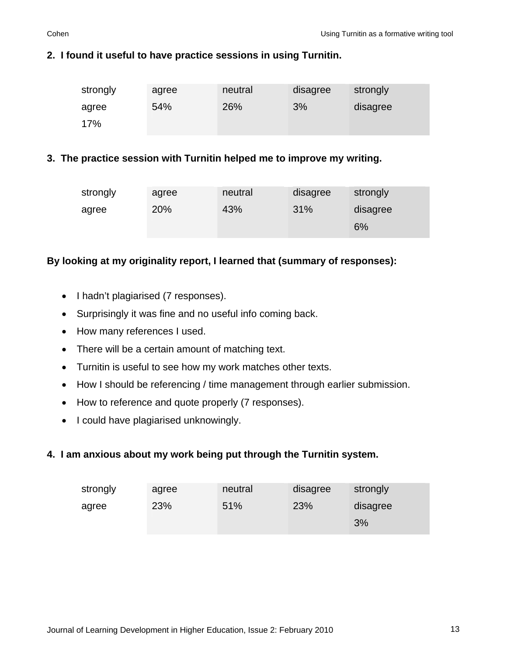#### **2. I found it useful to have practice sessions in using Turnitin.**

| strongly | agree | neutral | disagree | strongly |
|----------|-------|---------|----------|----------|
| agree    | 54%   | 26%     | 3%       | disagree |
| 17%      |       |         |          |          |

#### **3. The practice session with Turnitin helped me to improve my writing.**

| strongly | agree | neutral | disagree | strongly |
|----------|-------|---------|----------|----------|
| agree    | 20%   | 43%     | 31%      | disagree |
|          |       |         |          | 6%       |

#### **By looking at my originality report, I learned that (summary of responses):**

- I hadn't plagiarised (7 responses).
- Surprisingly it was fine and no useful info coming back.
- How many references I used.
- There will be a certain amount of matching text.
- Turnitin is useful to see how my work matches other texts.
- How I should be referencing / time management through earlier submission.
- How to reference and quote properly (7 responses).
- I could have plagiarised unknowingly.

### **4. I am anxious about my work being put through the Turnitin system.**

| strongly | agree | neutral | disagree | strongly |
|----------|-------|---------|----------|----------|
| agree    | 23%   | 51%     | 23%      | disagree |
|          |       |         |          | 3%       |